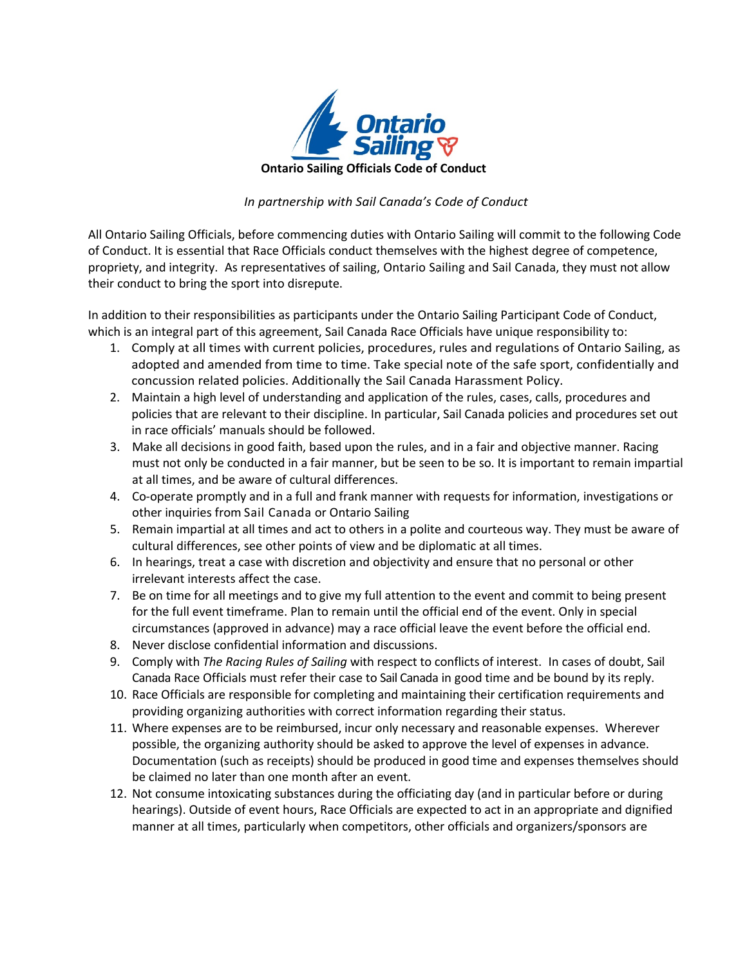

## *In partnership with Sail Canada's Code of Conduct*

All Ontario Sailing Officials, before commencing duties with Ontario Sailing will commit to the following Code of Conduct. It is essential that Race Officials conduct themselves with the highest degree of competence, propriety, and integrity. As representatives of sailing, Ontario Sailing and Sail Canada, they must not allow their conduct to bring the sport into disrepute.

In addition to their responsibilities as participants under the Ontario Sailing Participant Code of Conduct, which is an integral part of this agreement, Sail Canada Race Officials have unique responsibility to:

- 1. Comply at all times with current policies, procedures, rules and regulations of Ontario Sailing, as adopted and amended from time to time. Take special note of the safe sport, confidentially and concussion related policies. Additionally the Sail Canada Harassment Policy.
- 2. Maintain a high level of understanding and application of the rules, cases, calls, procedures and policies that are relevant to their discipline. In particular, Sail Canada policies and procedures set out in race officials' manuals should be followed.
- 3. Make all decisions in good faith, based upon the rules, and in a fair and objective manner. Racing must not only be conducted in a fair manner, but be seen to be so. It is important to remain impartial at all times, and be aware of cultural differences.
- 4. Co-operate promptly and in a full and frank manner with requests for information, investigations or other inquiries from Sail Canada or Ontario Sailing
- 5. Remain impartial at all times and act to others in a polite and courteous way. They must be aware of cultural differences, see other points of view and be diplomatic at all times.
- 6. In hearings, treat a case with discretion and objectivity and ensure that no personal or other irrelevant interests affect the case.
- 7. Be on time for all meetings and to give my full attention to the event and commit to being present for the full event timeframe. Plan to remain until the official end of the event. Only in special circumstances (approved in advance) may a race official leave the event before the official end.
- 8. Never disclose confidential information and discussions.
- 9. Comply with *The Racing Rules of Sailing* with respect to conflicts of interest. In cases of doubt, Sail Canada Race Officials must refer their case to Sail Canada in good time and be bound by its reply.
- 10. Race Officials are responsible for completing and maintaining their certification requirements and providing organizing authorities with correct information regarding their status.
- 11. Where expenses are to be reimbursed, incur only necessary and reasonable expenses. Wherever possible, the organizing authority should be asked to approve the level of expenses in advance. Documentation (such as receipts) should be produced in good time and expenses themselves should be claimed no later than one month after an event.
- 12. Not consume intoxicating substances during the officiating day (and in particular before or during hearings). Outside of event hours, Race Officials are expected to act in an appropriate and dignified manner at all times, particularly when competitors, other officials and organizers/sponsors are